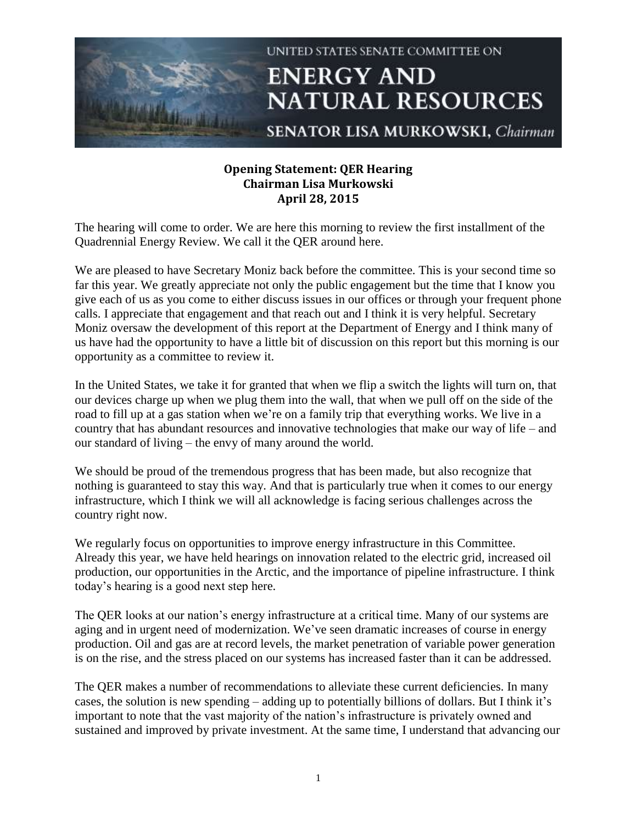

## **Opening Statement: QER Hearing Chairman Lisa Murkowski April 28, 2015**

The hearing will come to order. We are here this morning to review the first installment of the Quadrennial Energy Review. We call it the QER around here.

We are pleased to have Secretary Moniz back before the committee. This is your second time so far this year. We greatly appreciate not only the public engagement but the time that I know you give each of us as you come to either discuss issues in our offices or through your frequent phone calls. I appreciate that engagement and that reach out and I think it is very helpful. Secretary Moniz oversaw the development of this report at the Department of Energy and I think many of us have had the opportunity to have a little bit of discussion on this report but this morning is our opportunity as a committee to review it.

In the United States, we take it for granted that when we flip a switch the lights will turn on, that our devices charge up when we plug them into the wall, that when we pull off on the side of the road to fill up at a gas station when we're on a family trip that everything works. We live in a country that has abundant resources and innovative technologies that make our way of life – and our standard of living – the envy of many around the world.

We should be proud of the tremendous progress that has been made, but also recognize that nothing is guaranteed to stay this way. And that is particularly true when it comes to our energy infrastructure, which I think we will all acknowledge is facing serious challenges across the country right now.

We regularly focus on opportunities to improve energy infrastructure in this Committee. Already this year, we have held hearings on innovation related to the electric grid, increased oil production, our opportunities in the Arctic, and the importance of pipeline infrastructure. I think today's hearing is a good next step here.

The QER looks at our nation's energy infrastructure at a critical time. Many of our systems are aging and in urgent need of modernization. We've seen dramatic increases of course in energy production. Oil and gas are at record levels, the market penetration of variable power generation is on the rise, and the stress placed on our systems has increased faster than it can be addressed.

The QER makes a number of recommendations to alleviate these current deficiencies. In many cases, the solution is new spending – adding up to potentially billions of dollars. But I think it's important to note that the vast majority of the nation's infrastructure is privately owned and sustained and improved by private investment. At the same time, I understand that advancing our